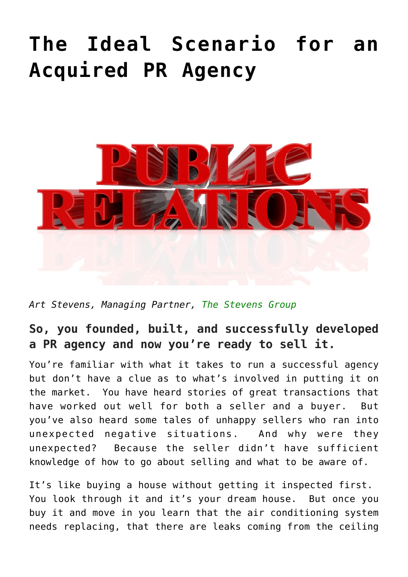# **[The Ideal Scenario for an](https://www.commpro.biz/the-ideal-scenario-for-an-acquired-pr-agency/) [Acquired PR Agency](https://www.commpro.biz/the-ideal-scenario-for-an-acquired-pr-agency/)**



*Art Stevens, Managing Partner, [The Stevens Group](https://theartstevensgroup.com/)*

## **So, you founded, built, and successfully developed a PR agency and now you're ready to sell it.**

You're familiar with what it takes to run a successful agency but don't have a clue as to what's involved in putting it on the market. You have heard stories of great transactions that have worked out well for both a seller and a buyer. But you've also heard some tales of unhappy sellers who ran into unexpected negative situations. And why were they unexpected? Because the seller didn't have sufficient knowledge of how to go about selling and what to be aware of.

It's like buying a house without getting it inspected first. You look through it and it's your dream house. But once you buy it and move in you learn that the air conditioning system needs replacing, that there are leaks coming from the ceiling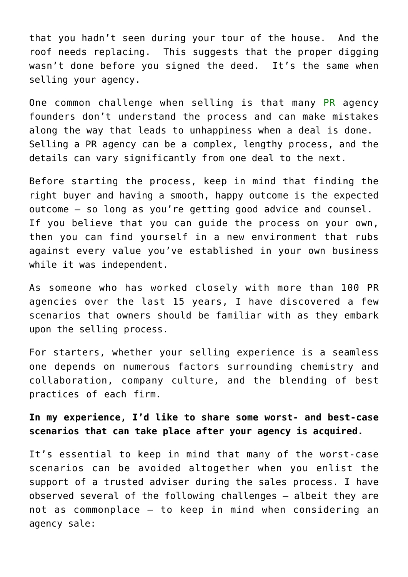that you hadn't seen during your tour of the house. And the roof needs replacing. This suggests that the proper digging wasn't done before you signed the deed. It's the same when selling your agency.

One common challenge when selling is that many [PR](https://www.commpro.biz/mergers-acquisitions/) agency founders don't understand the process and can make mistakes along the way that leads to unhappiness when a deal is done. Selling a PR agency can be a complex, lengthy process, and the details can vary significantly from one deal to the next.

Before starting the process, keep in mind that finding the right buyer and having a smooth, happy outcome is the expected outcome – so long as you're getting good advice and counsel. If you believe that you can guide the process on your own, then you can find yourself in a new environment that rubs against every value you've established in your own business while it was independent.

As someone who has worked closely with more than 100 PR agencies over the last 15 years, I have discovered a few scenarios that owners should be familiar with as they embark upon the selling process.

For starters, whether your selling experience is a seamless one depends on numerous factors surrounding chemistry and collaboration, company culture, and the blending of best practices of each firm.

**In my experience, I'd like to share some worst- and best-case scenarios that can take place after your agency is acquired.**

It's essential to keep in mind that many of the worst-case scenarios can be avoided altogether when you enlist the support of a trusted adviser during the sales process. I have observed several of the following challenges – albeit they are not as commonplace – to keep in mind when considering an agency sale: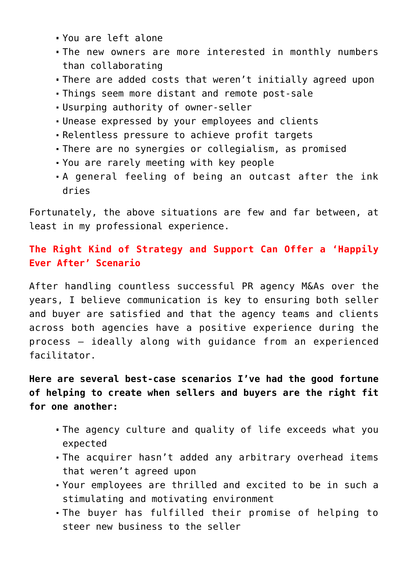- You are left alone
- The new owners are more interested in monthly numbers than collaborating
- There are added costs that weren't initially agreed upon
- Things seem more distant and remote post-sale
- Usurping authority of owner-seller
- Unease expressed by your employees and clients
- Relentless pressure to achieve profit targets
- There are no synergies or collegialism, as promised
- You are rarely meeting with key people
- A general feeling of being an outcast after the ink dries

Fortunately, the above situations are few and far between, at least in my professional experience.

#### **The Right Kind of Strategy and Support Can Offer a 'Happily Ever After' Scenario**

After handling countless successful PR agency M&As over the years, I believe communication is key to ensuring both seller and buyer are satisfied and that the agency teams and clients across both agencies have a positive experience during the process – ideally along with guidance from an experienced facilitator.

### **Here are several best-case scenarios I've had the good fortune of helping to create when sellers and buyers are the right fit for one another:**

- The agency culture and quality of life exceeds what you expected
- The acquirer hasn't added any arbitrary overhead items that weren't agreed upon
- Your employees are thrilled and excited to be in such a stimulating and motivating environment
- The buyer has fulfilled their promise of helping to steer new business to the seller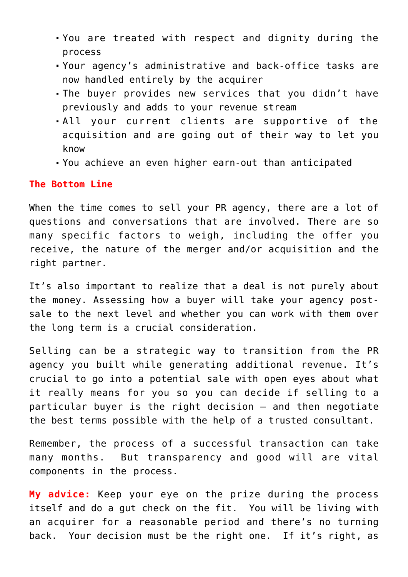- You are treated with respect and dignity during the process
- Your agency's administrative and back-office tasks are now handled entirely by the acquirer
- The buyer provides new services that you didn't have previously and adds to your revenue stream
- All your current clients are supportive of the acquisition and are going out of their way to let you know
- You achieve an even higher earn-out than anticipated

#### **The Bottom Line**

When the time comes to sell your PR agency, there are a lot of questions and conversations that are involved. There are so many specific factors to weigh, including the offer you receive, the nature of the merger and/or acquisition and the right partner.

It's also important to realize that a deal is not purely about the money. Assessing how a buyer will take your agency postsale to the next level and whether you can work with them over the long term is a crucial consideration.

Selling can be a strategic way to transition from the PR agency you built while generating additional revenue. It's crucial to go into a potential sale with open eyes about what it really means for you so you can decide if selling to a particular buyer is the right decision – and then negotiate the best terms possible with the help of a trusted consultant.

Remember, the process of a successful transaction can take many months. But transparency and good will are vital components in the process.

**My advice:** Keep your eye on the prize during the process itself and do a gut check on the fit. You will be living with an acquirer for a reasonable period and there's no turning back. Your decision must be the right one. If it's right, as